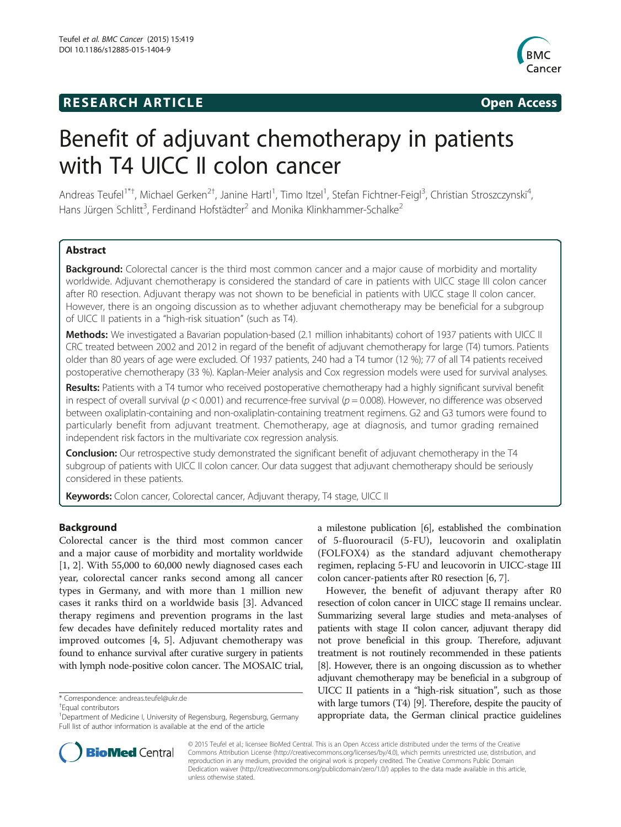## **RESEARCH ARTICLE Example 2014 CONSIDERING CONSIDERING CONSIDERING CONSIDERING CONSIDERING CONSIDERING CONSIDERING CONSIDERING CONSIDERING CONSIDERING CONSIDERING CONSIDERING CONSIDERING CONSIDERING CONSIDERING CONSIDE**



# Benefit of adjuvant chemotherapy in patients with T4 UICC II colon cancer

Andreas Teufel<sup>1\*†</sup>, Michael Gerken<sup>2†</sup>, Janine Hartl<sup>1</sup>, Timo Itzel<sup>1</sup>, Stefan Fichtner-Feigl<sup>3</sup>, Christian Stroszczynski<sup>4</sup> , Hans Jürgen Schlitt<sup>3</sup>, Ferdinand Hofstädter<sup>2</sup> and Monika Klinkhammer-Schalke<sup>2</sup>

## Abstract

Background: Colorectal cancer is the third most common cancer and a major cause of morbidity and mortality worldwide. Adjuvant chemotherapy is considered the standard of care in patients with UICC stage III colon cancer after R0 resection. Adjuvant therapy was not shown to be beneficial in patients with UICC stage II colon cancer. However, there is an ongoing discussion as to whether adjuvant chemotherapy may be beneficial for a subgroup of UICC II patients in a "high-risk situation" (such as T4).

Methods: We investigated a Bavarian population-based (2.1 million inhabitants) cohort of 1937 patients with UICC II CRC treated between 2002 and 2012 in regard of the benefit of adjuvant chemotherapy for large (T4) tumors. Patients older than 80 years of age were excluded. Of 1937 patients, 240 had a T4 tumor (12 %); 77 of all T4 patients received postoperative chemotherapy (33 %). Kaplan-Meier analysis and Cox regression models were used for survival analyses.

Results: Patients with a T4 tumor who received postoperative chemotherapy had a highly significant survival benefit in respect of overall survival ( $p < 0.001$ ) and recurrence-free survival ( $p = 0.008$ ). However, no difference was observed between oxaliplatin-containing and non-oxaliplatin-containing treatment regimens. G2 and G3 tumors were found to particularly benefit from adjuvant treatment. Chemotherapy, age at diagnosis, and tumor grading remained independent risk factors in the multivariate cox regression analysis.

Conclusion: Our retrospective study demonstrated the significant benefit of adjuvant chemotherapy in the T4 subgroup of patients with UICC II colon cancer. Our data suggest that adjuvant chemotherapy should be seriously considered in these patients.

Keywords: Colon cancer, Colorectal cancer, Adjuvant therapy, T4 stage, UICC II

## Background

Colorectal cancer is the third most common cancer and a major cause of morbidity and mortality worldwide [[1, 2\]](#page-7-0). With 55,000 to 60,000 newly diagnosed cases each year, colorectal cancer ranks second among all cancer types in Germany, and with more than 1 million new cases it ranks third on a worldwide basis [\[3\]](#page-7-0). Advanced therapy regimens and prevention programs in the last few decades have definitely reduced mortality rates and improved outcomes [\[4](#page-7-0), [5](#page-7-0)]. Adjuvant chemotherapy was found to enhance survival after curative surgery in patients with lymph node-positive colon cancer. The MOSAIC trial,

Equal contributors

a milestone publication [\[6](#page-7-0)], established the combination of 5-fluorouracil (5-FU), leucovorin and oxaliplatin (FOLFOX4) as the standard adjuvant chemotherapy regimen, replacing 5-FU and leucovorin in UICC-stage III colon cancer-patients after R0 resection [\[6](#page-7-0), [7](#page-7-0)].

However, the benefit of adjuvant therapy after R0 resection of colon cancer in UICC stage II remains unclear. Summarizing several large studies and meta-analyses of patients with stage II colon cancer, adjuvant therapy did not prove beneficial in this group. Therefore, adjuvant treatment is not routinely recommended in these patients [[8](#page-7-0)]. However, there is an ongoing discussion as to whether adjuvant chemotherapy may be beneficial in a subgroup of UICC II patients in a "high-risk situation", such as those with large tumors (T4) [\[9](#page-7-0)]. Therefore, despite the paucity of appropriate data, the German clinical practice guidelines



© 2015 Teufel et al.; licensee BioMed Central. This is an Open Access article distributed under the terms of the Creative Commons Attribution License [\(http://creativecommons.org/licenses/by/4.0\)](http://creativecommons.org/licenses/by/4.0), which permits unrestricted use, distribution, and reproduction in any medium, provided the original work is properly credited. The Creative Commons Public Domain Dedication waiver [\(http://creativecommons.org/publicdomain/zero/1.0/](http://creativecommons.org/publicdomain/zero/1.0/)) applies to the data made available in this article, unless otherwise stated.

<sup>\*</sup> Correspondence: [andreas.teufel@ukr.de](mailto:andreas.teufel@ukr.de) †

<sup>&</sup>lt;sup>1</sup>Department of Medicine I, University of Regensburg, Regensburg, Germany Full list of author information is available at the end of the article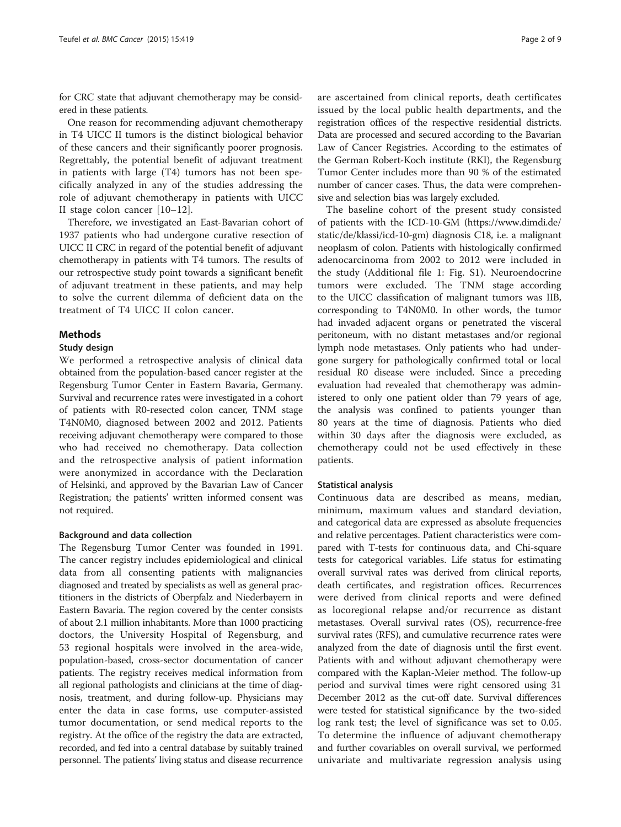for CRC state that adjuvant chemotherapy may be considered in these patients.

One reason for recommending adjuvant chemotherapy in T4 UICC II tumors is the distinct biological behavior of these cancers and their significantly poorer prognosis. Regrettably, the potential benefit of adjuvant treatment in patients with large (T4) tumors has not been specifically analyzed in any of the studies addressing the role of adjuvant chemotherapy in patients with UICC II stage colon cancer [[10](#page-7-0)–[12\]](#page-7-0).

Therefore, we investigated an East-Bavarian cohort of 1937 patients who had undergone curative resection of UICC II CRC in regard of the potential benefit of adjuvant chemotherapy in patients with T4 tumors. The results of our retrospective study point towards a significant benefit of adjuvant treatment in these patients, and may help to solve the current dilemma of deficient data on the treatment of T4 UICC II colon cancer.

## Methods

#### Study design

We performed a retrospective analysis of clinical data obtained from the population-based cancer register at the Regensburg Tumor Center in Eastern Bavaria, Germany. Survival and recurrence rates were investigated in a cohort of patients with R0-resected colon cancer, TNM stage T4N0M0, diagnosed between 2002 and 2012. Patients receiving adjuvant chemotherapy were compared to those who had received no chemotherapy. Data collection and the retrospective analysis of patient information were anonymized in accordance with the Declaration of Helsinki, and approved by the Bavarian Law of Cancer Registration; the patients' written informed consent was not required.

#### Background and data collection

The Regensburg Tumor Center was founded in 1991. The cancer registry includes epidemiological and clinical data from all consenting patients with malignancies diagnosed and treated by specialists as well as general practitioners in the districts of Oberpfalz and Niederbayern in Eastern Bavaria. The region covered by the center consists of about 2.1 million inhabitants. More than 1000 practicing doctors, the University Hospital of Regensburg, and 53 regional hospitals were involved in the area-wide, population-based, cross-sector documentation of cancer patients. The registry receives medical information from all regional pathologists and clinicians at the time of diagnosis, treatment, and during follow-up. Physicians may enter the data in case forms, use computer-assisted tumor documentation, or send medical reports to the registry. At the office of the registry the data are extracted, recorded, and fed into a central database by suitably trained personnel. The patients' living status and disease recurrence are ascertained from clinical reports, death certificates issued by the local public health departments, and the registration offices of the respective residential districts. Data are processed and secured according to the Bavarian Law of Cancer Registries. According to the estimates of the German Robert-Koch institute (RKI), the Regensburg Tumor Center includes more than 90 % of the estimated number of cancer cases. Thus, the data were comprehensive and selection bias was largely excluded.

The baseline cohort of the present study consisted of patients with the ICD-10-GM ([https://www.dimdi.de/](https://www.dimdi.de/static/de/klassi/icd-10-gm) [static/de/klassi/icd-10-gm](https://www.dimdi.de/static/de/klassi/icd-10-gm)) diagnosis C18, i.e. a malignant neoplasm of colon. Patients with histologically confirmed adenocarcinoma from 2002 to 2012 were included in the study (Additional file [1](#page-7-0): Fig. S1). Neuroendocrine tumors were excluded. The TNM stage according to the UICC classification of malignant tumors was IIB, corresponding to T4N0M0. In other words, the tumor had invaded adjacent organs or penetrated the visceral peritoneum, with no distant metastases and/or regional lymph node metastases. Only patients who had undergone surgery for pathologically confirmed total or local residual R0 disease were included. Since a preceding evaluation had revealed that chemotherapy was administered to only one patient older than 79 years of age, the analysis was confined to patients younger than 80 years at the time of diagnosis. Patients who died within 30 days after the diagnosis were excluded, as chemotherapy could not be used effectively in these patients.

#### Statistical analysis

Continuous data are described as means, median, minimum, maximum values and standard deviation, and categorical data are expressed as absolute frequencies and relative percentages. Patient characteristics were compared with T-tests for continuous data, and Chi-square tests for categorical variables. Life status for estimating overall survival rates was derived from clinical reports, death certificates, and registration offices. Recurrences were derived from clinical reports and were defined as locoregional relapse and/or recurrence as distant metastases. Overall survival rates (OS), recurrence-free survival rates (RFS), and cumulative recurrence rates were analyzed from the date of diagnosis until the first event. Patients with and without adjuvant chemotherapy were compared with the Kaplan-Meier method. The follow-up period and survival times were right censored using 31 December 2012 as the cut-off date. Survival differences were tested for statistical significance by the two-sided log rank test; the level of significance was set to 0.05. To determine the influence of adjuvant chemotherapy and further covariables on overall survival, we performed univariate and multivariate regression analysis using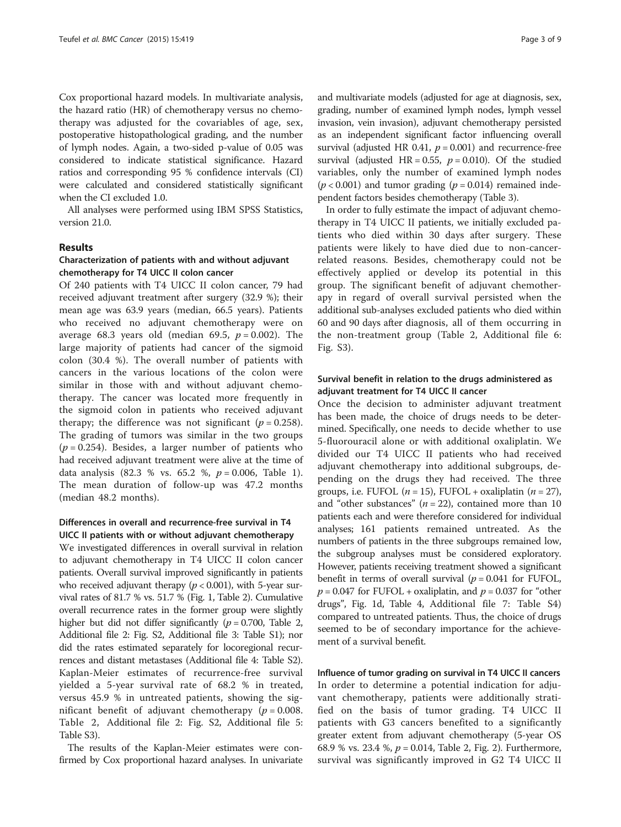Cox proportional hazard models. In multivariate analysis, the hazard ratio (HR) of chemotherapy versus no chemotherapy was adjusted for the covariables of age, sex, postoperative histopathological grading, and the number of lymph nodes. Again, a two-sided p-value of 0.05 was considered to indicate statistical significance. Hazard ratios and corresponding 95 % confidence intervals (CI) were calculated and considered statistically significant when the CI excluded 1.0.

All analyses were performed using IBM SPSS Statistics, version 21.0.

#### Results

#### Characterization of patients with and without adjuvant chemotherapy for T4 UICC II colon cancer

Of 240 patients with T4 UICC II colon cancer, 79 had received adjuvant treatment after surgery (32.9 %); their mean age was 63.9 years (median, 66.5 years). Patients who received no adjuvant chemotherapy were on average 68.3 years old (median 69.5,  $p = 0.002$ ). The large majority of patients had cancer of the sigmoid colon (30.4 %). The overall number of patients with cancers in the various locations of the colon were similar in those with and without adjuvant chemotherapy. The cancer was located more frequently in the sigmoid colon in patients who received adjuvant therapy; the difference was not significant ( $p = 0.258$ ). The grading of tumors was similar in the two groups  $(p = 0.254)$ . Besides, a larger number of patients who had received adjuvant treatment were alive at the time of data analysis (82.3 % vs. 65.2 %,  $p = 0.006$ , Table [1](#page-3-0)). The mean duration of follow-up was 47.2 months (median 48.2 months).

## Differences in overall and recurrence-free survival in T4 UICC II patients with or without adjuvant chemotherapy

We investigated differences in overall survival in relation to adjuvant chemotherapy in T4 UICC II colon cancer patients. Overall survival improved significantly in patients who received adjuvant therapy ( $p < 0.001$ ), with 5-year survival rates of 81.7 % vs. 51.7 % (Fig. [1](#page-4-0), Table [2](#page-5-0)). Cumulative overall recurrence rates in the former group were slightly higher but did not differ significantly ( $p = 0.700$ , Table [2](#page-5-0), Additional file [2](#page-7-0): Fig. S2, Additional file [3](#page-7-0): Table S1); nor did the rates estimated separately for locoregional recurrences and distant metastases (Additional file [4:](#page-7-0) Table S2). Kaplan-Meier estimates of recurrence-free survival yielded a 5-year survival rate of 68.2 % in treated, versus 45.9 % in untreated patients, showing the significant benefit of adjuvant chemotherapy ( $p = 0.008$ . Table [2,](#page-5-0) Additional file [2:](#page-7-0) Fig. S2, Additional file [5](#page-7-0): Table S3).

The results of the Kaplan-Meier estimates were confirmed by Cox proportional hazard analyses. In univariate

and multivariate models (adjusted for age at diagnosis, sex, grading, number of examined lymph nodes, lymph vessel invasion, vein invasion), adjuvant chemotherapy persisted as an independent significant factor influencing overall survival (adjusted HR 0.41,  $p = 0.001$ ) and recurrence-free survival (adjusted HR = 0.55,  $p = 0.010$ ). Of the studied variables, only the number of examined lymph nodes  $(p < 0.001)$  and tumor grading  $(p = 0.014)$  remained independent factors besides chemotherapy (Table [3](#page-5-0)).

In order to fully estimate the impact of adjuvant chemotherapy in T4 UICC II patients, we initially excluded patients who died within 30 days after surgery. These patients were likely to have died due to non-cancerrelated reasons. Besides, chemotherapy could not be effectively applied or develop its potential in this group. The significant benefit of adjuvant chemotherapy in regard of overall survival persisted when the additional sub-analyses excluded patients who died within 60 and 90 days after diagnosis, all of them occurring in the non-treatment group (Table [2,](#page-5-0) Additional file [6](#page-7-0): Fig. S3).

## Survival benefit in relation to the drugs administered as adjuvant treatment for T4 UICC II cancer

Once the decision to administer adjuvant treatment has been made, the choice of drugs needs to be determined. Specifically, one needs to decide whether to use 5-fluorouracil alone or with additional oxaliplatin. We divided our T4 UICC II patients who had received adjuvant chemotherapy into additional subgroups, depending on the drugs they had received. The three groups, i.e. FUFOL ( $n = 15$ ), FUFOL + oxaliplatin ( $n = 27$ ), and "other substances" ( $n = 22$ ), contained more than 10 patients each and were therefore considered for individual analyses; 161 patients remained untreated. As the numbers of patients in the three subgroups remained low, the subgroup analyses must be considered exploratory. However, patients receiving treatment showed a significant benefit in terms of overall survival  $(p = 0.041$  for FUFOL,  $p = 0.047$  for FUFOL + oxaliplatin, and  $p = 0.037$  for "other drugs", Fig. [1d,](#page-4-0) Table [4,](#page-6-0) Additional file [7](#page-7-0): Table S4) compared to untreated patients. Thus, the choice of drugs seemed to be of secondary importance for the achievement of a survival benefit.

Influence of tumor grading on survival in T4 UICC II cancers In order to determine a potential indication for adjuvant chemotherapy, patients were additionally stratified on the basis of tumor grading. T4 UICC II patients with G3 cancers benefited to a significantly greater extent from adjuvant chemotherapy (5-year OS 68.9 % vs. [2](#page-6-0)3.4 %,  $p = 0.014$ , Table [2,](#page-5-0) Fig. 2). Furthermore, survival was significantly improved in G2 T4 UICC II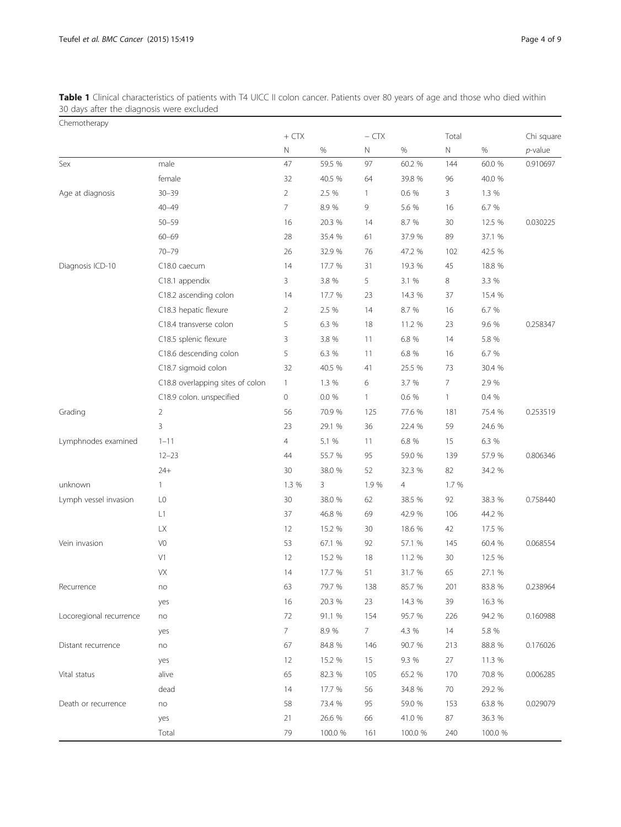<span id="page-3-0"></span>**Table 1** Clinical characteristics of patients with T4 UICC II colon cancer. Patients over 80 years of age and those who died within 30 days after the diagnosis were excluded

| Chemotherapy            |                                  |                |         |              |         |                |         |            |
|-------------------------|----------------------------------|----------------|---------|--------------|---------|----------------|---------|------------|
|                         |                                  | $+$ CTX        |         | $-$ CTX      |         | Total          |         | Chi square |
|                         |                                  | $\mathbb N$    | $\%$    | $\mathbb N$  | $\%$    | $\mathbb N$    | $\%$    | $p$ -value |
| Sex                     | male                             | 47             | 59.5 %  | 97           | 60.2 %  | 144            | 60.0 %  | 0.910697   |
|                         | female                           | 32             | 40.5 %  | 64           | 39.8 %  | 96             | 40.0 %  |            |
| Age at diagnosis        | $30 - 39$                        | $\overline{2}$ | 2.5 %   | $\mathbf{1}$ | 0.6 %   | 3              | 1.3 %   |            |
|                         | $40 - 49$                        | 7              | 8.9%    | 9            | 5.6 %   | 16             | 6.7 %   |            |
|                         | $50 - 59$                        | 16             | 20.3 %  | 14           | 8.7 %   | 30             | 12.5 %  | 0.030225   |
|                         | $60 - 69$                        | 28             | 35.4 %  | 61           | 37.9 %  | 89             | 37.1 %  |            |
|                         | $70 - 79$                        | 26             | 32.9 %  | 76           | 47.2 %  | 102            | 42.5 %  |            |
| Diagnosis ICD-10        | C18.0 caecum                     | 14             | 17.7 %  | 31           | 19.3 %  | 45             | 18.8 %  |            |
|                         | C18.1 appendix                   | 3              | 3.8 %   | 5            | 3.1 %   | 8              | 3.3 %   |            |
|                         | C18.2 ascending colon            | 14             | 17.7 %  | 23           | 14.3 %  | 37             | 15.4 %  |            |
|                         | C18.3 hepatic flexure            | $\overline{2}$ | 2.5 %   | 14           | 8.7 %   | 16             | 6.7 %   |            |
|                         | C18.4 transverse colon           | 5              | 6.3 %   | 18           | 11.2 %  | 23             | 9.6 %   | 0.258347   |
|                         | C18.5 splenic flexure            | 3              | 3.8 %   | 11           | 6.8 %   | 14             | 5.8 %   |            |
|                         | C18.6 descending colon           | 5              | 6.3 %   | 11           | 6.8 %   | 16             | 6.7 %   |            |
|                         | C18.7 sigmoid colon              | 32             | 40.5 %  | 41           | 25.5 %  | 73             | 30.4 %  |            |
|                         | C18.8 overlapping sites of colon | $\mathbf{1}$   | 1.3 %   | 6            | 3.7 %   | $\overline{7}$ | 2.9 %   |            |
|                         | C18.9 colon. unspecified         | $\mathbf 0$    | 0.0 %   | $\mathbf{1}$ | 0.6 %   | $\mathbf{1}$   | 0.4 %   |            |
| Grading                 | $\overline{2}$                   | 56             | 70.9 %  | 125          | 77.6 %  | 181            | 75.4 %  | 0.253519   |
|                         | 3                                | 23             | 29.1 %  | 36           | 22.4 %  | 59             | 24.6 %  |            |
| Lymphnodes examined     | $1 - 11$                         | $\overline{4}$ | 5.1 %   | 11           | 6.8 %   | 15             | 6.3 %   |            |
|                         | $12 - 23$                        | 44             | 55.7 %  | 95           | 59.0 %  | 139            | 57.9 %  | 0.806346   |
|                         | $24+$                            | 30             | 38.0 %  | 52           | 32.3 %  | 82             | 34.2 %  |            |
| unknown                 | $\mathbf{1}$                     | 1.3 %          | 3       | 1.9%         | 4       | 1.7 %          |         |            |
| Lymph vessel invasion   | L <sub>0</sub>                   | 30             | 38.0 %  | 62           | 38.5 %  | 92             | 38.3 %  | 0.758440   |
|                         | L1                               | 37             | 46.8 %  | 69           | 42.9 %  | 106            | 44.2 %  |            |
|                         | <b>LX</b>                        | 12             | 15.2 %  | 30           | 18.6 %  | 42             | 17.5 %  |            |
| Vein invasion           | V <sub>0</sub>                   | 53             | 67.1 %  | 92           | 57.1 %  | 145            | 60.4 %  | 0.068554   |
|                         | V1                               | 12             | 15.2 %  | 18           | 11.2 %  | 30             | 12.5 %  |            |
|                         | VX                               | 14             | 17.7 %  | 51           | 31.7 %  | 65             | 27.1 %  |            |
| Recurrence              | no                               | 63             | 79.7 %  | 138          | 85.7 %  | 201            | 83.8 %  | 0.238964   |
|                         | yes                              | 16             | 20.3 %  | 23           | 14.3 %  | 39             | 16.3 %  |            |
| Locoregional recurrence | no                               | $72\,$         | 91.1 %  | 154          | 95.7 %  | 226            | 94.2 %  | 0.160988   |
|                         | yes                              | 7              | 8.9%    | 7            | 4.3 %   | 14             | 5.8 %   |            |
| Distant recurrence      | no                               | 67             | 84.8 %  | 146          | 90.7 %  | 213            | 88.8 %  | 0.176026   |
|                         | yes                              | 12             | 15.2 %  | 15           | 9.3 %   | 27             | 11.3 %  |            |
| Vital status            | alive                            | 65             | 82.3 %  | 105          | 65.2 %  | 170            | 70.8 %  | 0.006285   |
|                         | dead                             | 14             | 17.7 %  | 56           | 34.8 %  | 70             | 29.2 %  |            |
| Death or recurrence     | no                               | 58             | 73.4 %  | 95           | 59.0 %  | 153            | 63.8 %  | 0.029079   |
|                         | yes                              | 21             | 26.6 %  | 66           | 41.0%   | 87             | 36.3 %  |            |
|                         | Total                            | 79             | 100.0 % | 161          | 100.0 % | 240            | 100.0 % |            |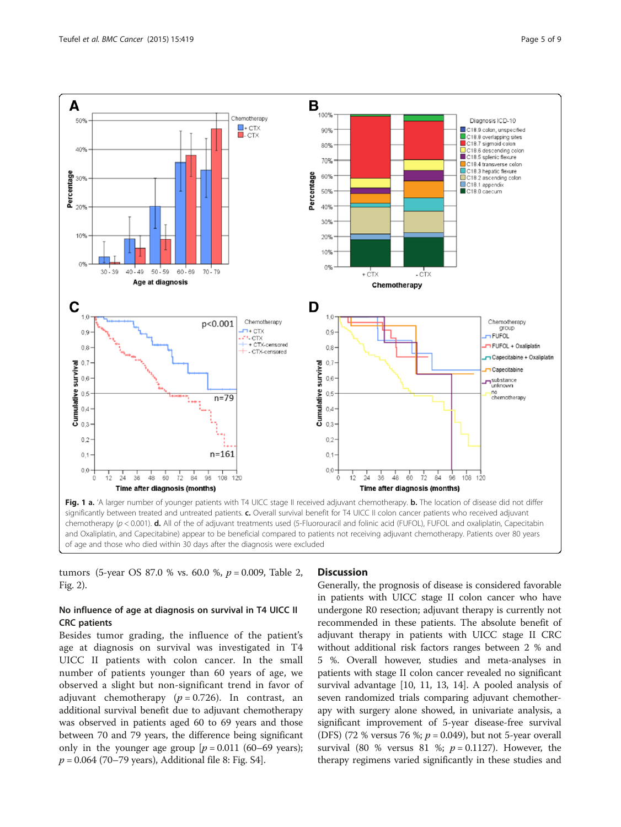

<span id="page-4-0"></span>

significantly between treated and untreated patients. c. Overall survival benefit for T4 UICC II colon cancer patients who received adjuvant chemotherapy ( $p$  < 0.001). **d.** All of the of adjuvant treatments used (5-Fluorouracil and folinic acid (FUFOL), FUFOL and oxaliplatin, Capecitabin and Oxaliplatin, and Capecitabine) appear to be beneficial compared to patients not receiving adjuvant chemotherapy. Patients over 80 years of age and those who died within 30 days after the diagnosis were excluded

tumors (5-year OS 87.0 % vs. 60.0 %,  $p = 0.009$ , Table [2](#page-5-0), Fig. [2](#page-6-0)).

## No influence of age at diagnosis on survival in T4 UICC II CRC patients

Besides tumor grading, the influence of the patient's age at diagnosis on survival was investigated in T4 UICC II patients with colon cancer. In the small number of patients younger than 60 years of age, we observed a slight but non-significant trend in favor of adjuvant chemotherapy ( $p = 0.726$ ). In contrast, an additional survival benefit due to adjuvant chemotherapy was observed in patients aged 60 to 69 years and those between 70 and 79 years, the difference being significant only in the younger age group  $[p = 0.011]$  (60–69 years);  $p = 0.064$  (70–79 years), Additional file [8](#page-7-0): Fig. S4].

#### **Discussion**

Generally, the prognosis of disease is considered favorable in patients with UICC stage II colon cancer who have undergone R0 resection; adjuvant therapy is currently not recommended in these patients. The absolute benefit of adjuvant therapy in patients with UICC stage II CRC without additional risk factors ranges between 2 % and 5 %. Overall however, studies and meta-analyses in patients with stage II colon cancer revealed no significant survival advantage [[10, 11](#page-7-0), [13](#page-7-0), [14](#page-8-0)]. A pooled analysis of seven randomized trials comparing adjuvant chemotherapy with surgery alone showed, in univariate analysis, a significant improvement of 5-year disease-free survival (DFS) (72 % versus 76 %;  $p = 0.049$ ), but not 5-year overall survival (80 % versus 81 %;  $p = 0.1127$ ). However, the therapy regimens varied significantly in these studies and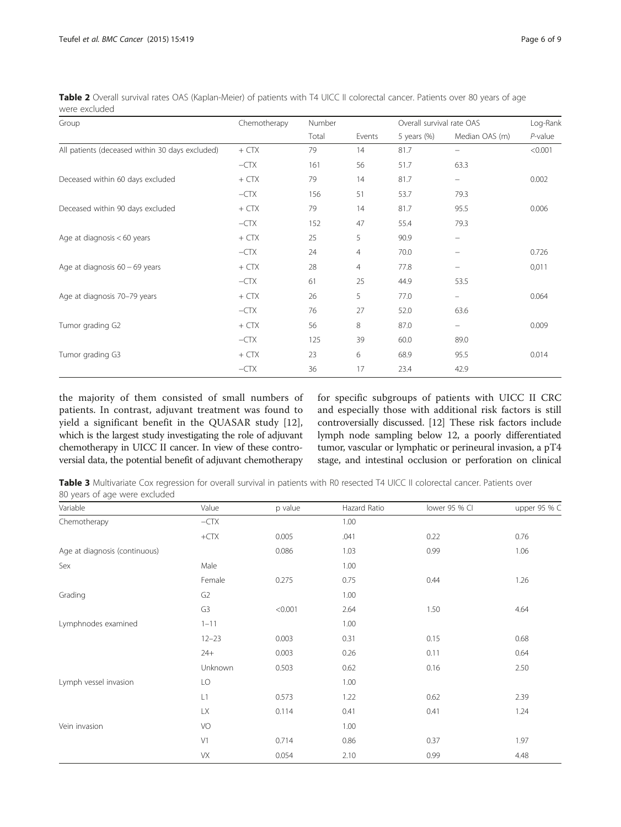| Group                                           | Chemotherapy | Number |        | Overall survival rate OAS | Log-Rank                 |            |
|-------------------------------------------------|--------------|--------|--------|---------------------------|--------------------------|------------|
|                                                 |              | Total  | Events | 5 years $(\%)$            | Median OAS (m)           | $P$ -value |
| All patients (deceased within 30 days excluded) | $+CTX$       | 79     | 14     | 81.7                      |                          | < 0.001    |
|                                                 | $-CTX$       | 161    | 56     | 51.7                      | 63.3                     |            |
| Deceased within 60 days excluded                | $+$ CTX      | 79     | 14     | 81.7                      | -                        | 0.002      |
|                                                 | $-CTX$       | 156    | 51     | 53.7                      | 79.3                     |            |
| Deceased within 90 days excluded                | $+$ CTX      | 79     | 14     | 81.7                      | 95.5                     | 0.006      |
|                                                 | $-CTX$       | 152    | 47     | 55.4                      | 79.3                     |            |
| Age at diagnosis $< 60$ years                   | $+$ CTX      | 25     | 5      | 90.9                      | $\overline{\phantom{0}}$ |            |
|                                                 | $-CTX$       | 24     | 4      | 70.0                      | $\qquad \qquad -$        | 0.726      |
| Age at diagnosis $60 - 69$ years                | $+$ CTX      | 28     | 4      | 77.8                      | -                        | 0,011      |
|                                                 | $-CTX$       | 61     | 25     | 44.9                      | 53.5                     |            |
| Age at diagnosis 70-79 years                    | $+CTX$       | 26     | 5      | 77.0                      | -                        | 0.064      |
|                                                 | $-CTX$       | 76     | 27     | 52.0                      | 63.6                     |            |
| Tumor grading G2                                | $+$ CTX      | 56     | 8      | 87.0                      | -                        | 0.009      |
|                                                 | $-CTX$       | 125    | 39     | 60.0                      | 89.0                     |            |
| Tumor grading G3                                | $+$ CTX      | 23     | 6      | 68.9                      | 95.5                     | 0.014      |
|                                                 | $-CTX$       | 36     | 17     | 23.4                      | 42.9                     |            |

<span id="page-5-0"></span>Table 2 Overall survival rates OAS (Kaplan-Meier) of patients with T4 UICC II colorectal cancer. Patients over 80 years of age were excluded

the majority of them consisted of small numbers of patients. In contrast, adjuvant treatment was found to yield a significant benefit in the QUASAR study [\[12](#page-7-0)], which is the largest study investigating the role of adjuvant chemotherapy in UICC II cancer. In view of these controversial data, the potential benefit of adjuvant chemotherapy

for specific subgroups of patients with UICC II CRC and especially those with additional risk factors is still controversially discussed. [\[12](#page-7-0)] These risk factors include lymph node sampling below 12, a poorly differentiated tumor, vascular or lymphatic or perineural invasion, a pT4 stage, and intestinal occlusion or perforation on clinical

Table 3 Multivariate Cox regression for overall survival in patients with R0 resected T4 UICC II colorectal cancer. Patients over 80 years of age were excluded

| Variable                      | Value          | p value | Hazard Ratio | lower 95 % Cl | upper 95 % C |
|-------------------------------|----------------|---------|--------------|---------------|--------------|
| Chemotherapy                  | $-CTX$         |         | 1.00         |               |              |
|                               | $+CTX$         | 0.005   | .041         | 0.22          | 0.76         |
| Age at diagnosis (continuous) |                | 0.086   | 1.03         | 0.99          | 1.06         |
| Sex                           | Male           |         | 1.00         |               |              |
|                               | Female         | 0.275   | 0.75         | 0.44          | 1.26         |
| Grading                       | G <sub>2</sub> |         | 1.00         |               |              |
|                               | G3             | < 0.001 | 2.64         | 1.50          | 4.64         |
| Lymphnodes examined           | $1 - 11$       |         | 1.00         |               |              |
|                               | $12 - 23$      | 0.003   | 0.31         | 0.15          | 0.68         |
|                               | $24+$          | 0.003   | 0.26         | 0.11          | 0.64         |
|                               | Unknown        | 0.503   | 0.62         | 0.16          | 2.50         |
| Lymph vessel invasion         | LO             |         | 1.00         |               |              |
|                               | L1             | 0.573   | 1.22         | 0.62          | 2.39         |
|                               | <b>LX</b>      | 0.114   | 0.41         | 0.41          | 1.24         |
| Vein invasion                 | VO             |         | 1.00         |               |              |
|                               | V1             | 0.714   | 0.86         | 0.37          | 1.97         |
|                               | VX             | 0.054   | 2.10         | 0.99          | 4.48         |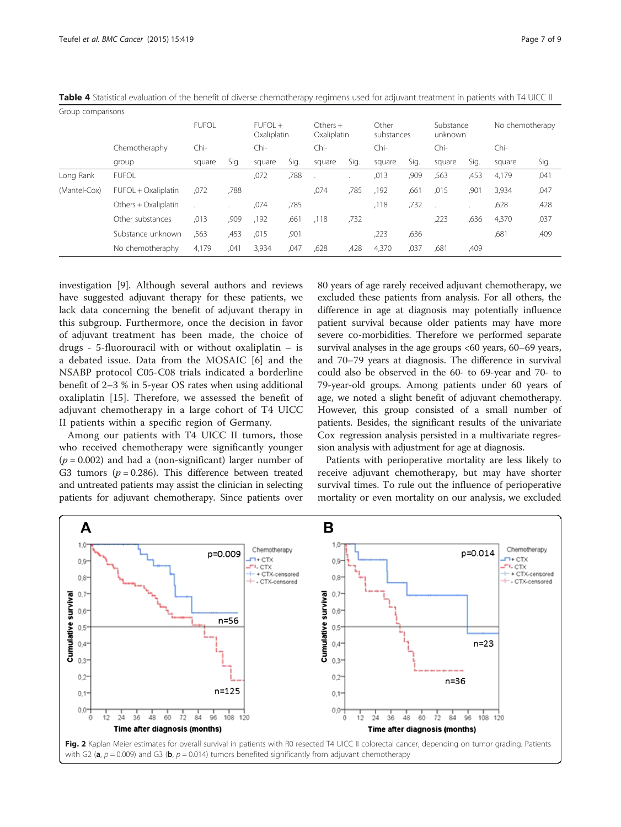| Group comparisons |                      |              |      |                          |      |                          |      |                     |      |                      |      |                 |      |
|-------------------|----------------------|--------------|------|--------------------------|------|--------------------------|------|---------------------|------|----------------------|------|-----------------|------|
|                   |                      | <b>FUFOL</b> |      | $FUFOI +$<br>Oxaliplatin |      | $Other +$<br>Oxaliplatin |      | Other<br>substances |      | Substance<br>unknown |      | No chemotherapy |      |
|                   | Chemotheraphy        | $Chi-$       |      | Chi-                     |      | Chi-                     |      | $Chi-$              |      | Chi-                 |      | $Chi-$          |      |
|                   | group                | square       | Sig. | square                   | Sig. | square                   | Sig. | square              | Sig. | square               | Sig. | square          | Sig. |
| Long Rank         | <b>FUFOL</b>         |              |      | ,072                     | ,788 |                          |      | ,013                | ,909 | ,563                 | ,453 | 4,179           | ,041 |
| (Mantel-Cox)      | FUFOL + Oxaliplatin  | ,072         | ,788 |                          |      | .074                     | ,785 | ,192                | ,661 | ,015                 | ,901 | 3,934           | ,047 |
|                   | Others + Oxaliplatin |              |      | ,074                     | ,785 |                          |      | ,118                | ,732 |                      |      | ,628            | ,428 |
|                   | Other substances     | ,013         | ,909 | ,192                     | ,661 | .118                     | ,732 |                     |      | ,223                 | ,636 | 4,370           | ,037 |
|                   | Substance unknown    | ,563         | ,453 | .015                     | ,901 |                          |      | ,223                | ,636 |                      |      | ,681            | ,409 |
|                   | No chemotheraphy     | 4,179        | ,041 | 3,934                    | ,047 | ,628                     | ,428 | 4,370               | ,037 | .681                 | ,409 |                 |      |

<span id="page-6-0"></span>Table 4 Statistical evaluation of the benefit of diverse chemotherapy regimens used for adjuvant treatment in patients with T4 UICC II

investigation [\[9](#page-7-0)]. Although several authors and reviews have suggested adjuvant therapy for these patients, we lack data concerning the benefit of adjuvant therapy in this subgroup. Furthermore, once the decision in favor of adjuvant treatment has been made, the choice of drugs - 5-fluorouracil with or without oxaliplatin – is a debated issue. Data from the MOSAIC [[6\]](#page-7-0) and the NSABP protocol C05-C08 trials indicated a borderline benefit of 2–3 % in 5-year OS rates when using additional oxaliplatin [\[15](#page-8-0)]. Therefore, we assessed the benefit of adjuvant chemotherapy in a large cohort of T4 UICC II patients within a specific region of Germany.

Among our patients with T4 UICC II tumors, those who received chemotherapy were significantly younger  $(p = 0.002)$  and had a (non-significant) larger number of G3 tumors ( $p = 0.286$ ). This difference between treated and untreated patients may assist the clinician in selecting patients for adjuvant chemotherapy. Since patients over 80 years of age rarely received adjuvant chemotherapy, we excluded these patients from analysis. For all others, the difference in age at diagnosis may potentially influence patient survival because older patients may have more severe co-morbidities. Therefore we performed separate survival analyses in the age groups <60 years, 60–69 years, and 70–79 years at diagnosis. The difference in survival could also be observed in the 60- to 69-year and 70- to 79-year-old groups. Among patients under 60 years of age, we noted a slight benefit of adjuvant chemotherapy. However, this group consisted of a small number of patients. Besides, the significant results of the univariate Cox regression analysis persisted in a multivariate regression analysis with adjustment for age at diagnosis.

Patients with perioperative mortality are less likely to receive adjuvant chemotherapy, but may have shorter survival times. To rule out the influence of perioperative mortality or even mortality on our analysis, we excluded

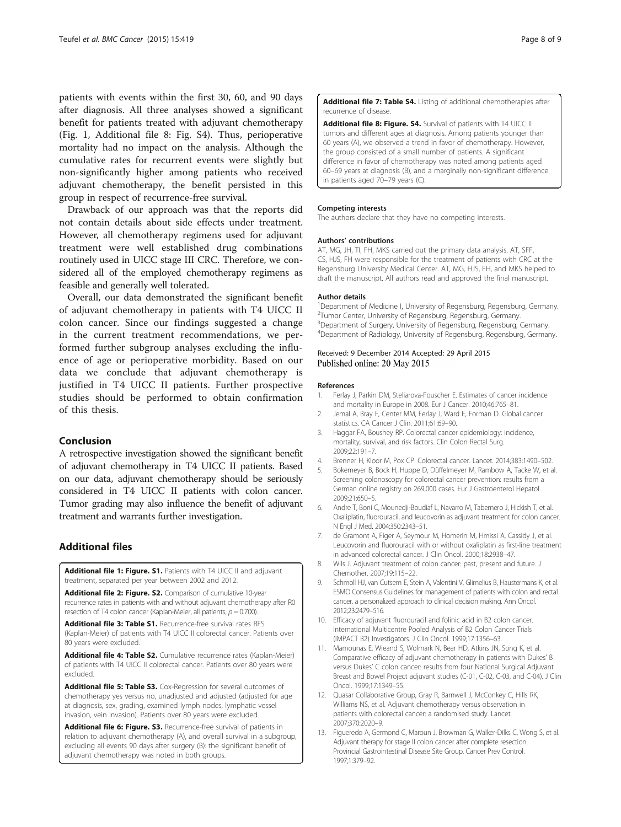<span id="page-7-0"></span>patients with events within the first 30, 60, and 90 days after diagnosis. All three analyses showed a significant benefit for patients treated with adjuvant chemotherapy (Fig. [1](#page-4-0), Additional file 8: Fig. S4). Thus, perioperative mortality had no impact on the analysis. Although the cumulative rates for recurrent events were slightly but non-significantly higher among patients who received adjuvant chemotherapy, the benefit persisted in this group in respect of recurrence-free survival.

Drawback of our approach was that the reports did not contain details about side effects under treatment. However, all chemotherapy regimens used for adjuvant treatment were well established drug combinations routinely used in UICC stage III CRC. Therefore, we considered all of the employed chemotherapy regimens as feasible and generally well tolerated.

Overall, our data demonstrated the significant benefit of adjuvant chemotherapy in patients with T4 UICC II colon cancer. Since our findings suggested a change in the current treatment recommendations, we performed further subgroup analyses excluding the influence of age or perioperative morbidity. Based on our data we conclude that adjuvant chemotherapy is justified in T4 UICC II patients. Further prospective studies should be performed to obtain confirmation of this thesis.

#### Conclusion

A retrospective investigation showed the significant benefit of adjuvant chemotherapy in T4 UICC II patients. Based on our data, adjuvant chemotherapy should be seriously considered in T4 UICC II patients with colon cancer. Tumor grading may also influence the benefit of adjuvant treatment and warrants further investigation.

## Additional files

[Additional file 1: Figure. S1.](http://www.biomedcentral.com/content/supplementary/s12885-015-1404-9-s1.pdf) Patients with T4 UICC II and adjuvant treatment, separated per year between 2002 and 2012.

[Additional file 2: Figure. S2.](http://www.biomedcentral.com/content/supplementary/s12885-015-1404-9-s2.jpeg) Comparison of cumulative 10-year recurrence rates in patients with and without adjuvant chemotherapy after R0 resection of T4 colon cancer (Kaplan-Meier, all patients,  $p = 0.700$ ).

[Additional file 3: Table S1.](http://www.biomedcentral.com/content/supplementary/s12885-015-1404-9-s3.pdf) Recurrence-free survival rates RFS (Kaplan-Meier) of patients with T4 UICC II colorectal cancer. Patients over 80 years were excluded.

[Additional file 4: Table S2.](http://www.biomedcentral.com/content/supplementary/s12885-015-1404-9-s4.pdf) Cumulative recurrence rates (Kaplan-Meier) of patients with T4 UICC II colorectal cancer. Patients over 80 years were excluded.

[Additional file 5: Table S3.](http://www.biomedcentral.com/content/supplementary/s12885-015-1404-9-s5.pdf) Cox-Regression for several outcomes of chemotherapy yes versus no, unadjusted and adjusted (adjusted for age at diagnosis, sex, grading, examined lymph nodes, lymphatic vessel invasion, vein invasion). Patients over 80 years were excluded.

[Additional file 6: Figure. S3.](http://www.biomedcentral.com/content/supplementary/s12885-015-1404-9-s6.jpeg) Recurrence-free survival of patients in relation to adjuvant chemotherapy (A), and overall survival in a subgroup, excluding all events 90 days after surgery (B): the significant benefit of adjuvant chemotherapy was noted in both groups.

[Additional file 7: Table S4.](http://www.biomedcentral.com/content/supplementary/s12885-015-1404-9-s7.pdf) Listing of additional chemotherapies after recurrence of disease.

[Additional file 8: Figure. S4.](http://www.biomedcentral.com/content/supplementary/s12885-015-1404-9-s8.jpeg) Survival of patients with T4 UICC II tumors and different ages at diagnosis. Among patients younger than 60 years (A), we observed a trend in favor of chemotherapy. However, the group consisted of a small number of patients. A significant difference in favor of chemotherapy was noted among patients aged 60–69 years at diagnosis (B), and a marginally non-significant difference in patients aged 70–79 years (C).

#### Competing interests

The authors declare that they have no competing interests.

#### Authors' contributions

AT, MG, JH, TI, FH, MKS carried out the primary data analysis. AT, SFF, CS, HJS, FH were responsible for the treatment of patients with CRC at the Regensburg University Medical Center. AT, MG, HJS, FH, and MKS helped to draft the manuscript. All authors read and approved the final manuscript.

#### Author details

<sup>1</sup>Department of Medicine I, University of Regensburg, Regensburg, Germany <sup>2</sup>Tumor Center, University of Regensburg, Regensburg, Germany. <sup>3</sup>Department of Surgery, University of Regensburg, Regensburg, Germany 4 Department of Radiology, University of Regensburg, Regensburg, Germany.

#### Received: 9 December 2014 Accepted: 29 April 2015 Published online: 20 May 2015

#### References

- 1. Ferlay J, Parkin DM, Steliarova-Fouscher E. Estimates of cancer incidence and mortality in Europe in 2008. Eur J Cancer. 2010;46:765–81.
- 2. Jemal A, Bray F, Center MM, Ferlay J, Ward E, Forman D. Global cancer statistics. CA Cancer J Clin. 2011;61:69–90.
- 3. Haggar FA, Boushey RP. Colorectal cancer epidemiology: incidence, mortality, survival, and risk factors. Clin Colon Rectal Surg. 2009;22:191–7.
- 4. Brenner H, Kloor M, Pox CP. Colorectal cancer. Lancet. 2014;383:1490–502.
- 5. Bokemeyer B, Bock H, Huppe D, Düffelmeyer M, Rambow A, Tacke W, et al. Screening colonoscopy for colorectal cancer prevention: results from a German online registry on 269,000 cases. Eur J Gastroenterol Hepatol. 2009;21:650–5.
- 6. Andre T, Boni C, Mounedji-Boudiaf L, Navarro M, Tabernero J, Hickish T, et al. Oxaliplatin, fluorouracil, and leucovorin as adjuvant treatment for colon cancer. N Engl J Med. 2004;350:2343–51.
- 7. de Gramont A, Figer A, Seymour M, Homerin M, Hmissi A, Cassidy J, et al. Leucovorin and fluorouracil with or without oxaliplatin as first-line treatment in advanced colorectal cancer. J Clin Oncol. 2000;18:2938–47.
- 8. Wils J. Adjuvant treatment of colon cancer: past, present and future. J Chemother. 2007;19:115–22.
- 9. Schmoll HJ, van Cutsem E, Stein A, Valentini V, Glimelius B, Haustermans K, et al. ESMO Consensus Guidelines for management of patients with colon and rectal cancer. a personalized approach to clinical decision making. Ann Oncol. 2012;23:2479–516.
- 10. Efficacy of adjuvant fluorouracil and folinic acid in B2 colon cancer. International Multicentre Pooled Analysis of B2 Colon Cancer Trials (IMPACT B2) Investigators. J Clin Oncol. 1999;17:1356–63.
- 11. Mamounas E, Wieand S, Wolmark N, Bear HD, Atkins JN, Song K, et al. Comparative efficacy of adjuvant chemotherapy in patients with Dukes' B versus Dukes' C colon cancer: results from four National Surgical Adjuvant Breast and Bowel Project adjuvant studies (C-01, C-02, C-03, and C-04). J Clin Oncol. 1999;17:1349–55.
- 12. Quasar Collaborative Group, Gray R, Barnwell J, McConkey C, Hills RK, Williams NS, et al. Adjuvant chemotherapy versus observation in patients with colorectal cancer: a randomised study. Lancet. 2007;370:2020–9.
- 13. Figueredo A, Germond C, Maroun J, Browman G, Walker-Dilks C, Wong S, et al. Adjuvant therapy for stage II colon cancer after complete resection. Provincial Gastrointestinal Disease Site Group. Cancer Prev Control. 1997;1:379–92.